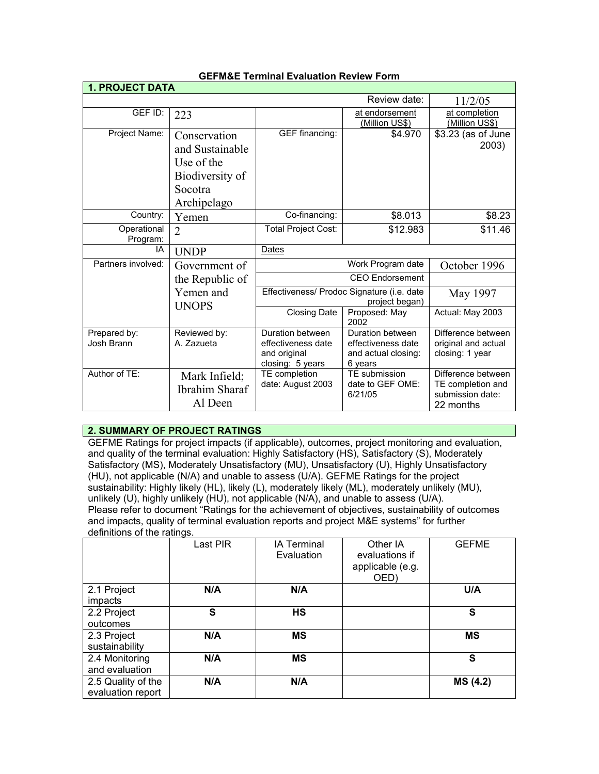| <b>1. PROJECT DATA</b>     |                                                                                            |                                                                            |                                                                          |                                                                          |
|----------------------------|--------------------------------------------------------------------------------------------|----------------------------------------------------------------------------|--------------------------------------------------------------------------|--------------------------------------------------------------------------|
|                            |                                                                                            |                                                                            | Review date:                                                             | 11/2/05                                                                  |
| GEF ID:                    | 223                                                                                        |                                                                            | at endorsement<br>(Million US\$)                                         | at completion<br>(Million US\$)                                          |
| Project Name:              | Conservation<br>and Sustainable<br>Use of the<br>Biodiversity of<br>Socotra<br>Archipelago | GEF financing:                                                             | \$4.970                                                                  | \$3.23 (as of June<br>2003)                                              |
| Country:                   | Yemen                                                                                      | Co-financing:                                                              | \$8.013                                                                  | \$8.23                                                                   |
| Operational<br>Program:    | $\overline{2}$                                                                             | Total Project Cost:                                                        | \$12.983                                                                 | \$11.46                                                                  |
| IA                         | <b>UNDP</b>                                                                                | Dates                                                                      |                                                                          |                                                                          |
| Partners involved:         | Government of                                                                              | Work Program date                                                          |                                                                          | October 1996                                                             |
|                            | the Republic of                                                                            | <b>CEO</b> Endorsement                                                     |                                                                          |                                                                          |
|                            | Yemen and<br><b>UNOPS</b>                                                                  | Effectiveness/ Prodoc Signature (i.e. date<br>project began)               |                                                                          | May 1997                                                                 |
|                            |                                                                                            | <b>Closing Date</b>                                                        | Proposed: May<br>2002                                                    | Actual: May 2003                                                         |
| Prepared by:<br>Josh Brann | Reviewed by:<br>A. Zazueta                                                                 | Duration between<br>effectiveness date<br>and original<br>closing: 5 years | Duration between<br>effectiveness date<br>and actual closing:<br>6 years | Difference between<br>original and actual<br>closing: 1 year             |
| Author of TE:              | Mark Infield;<br>Ibrahim Sharaf<br>Al Deen                                                 | TE completion<br>date: August 2003                                         | TE submission<br>date to GEF OME:<br>6/21/05                             | Difference between<br>TE completion and<br>submission date:<br>22 months |

## **GEFM&E Terminal Evaluation Review Form**

# **2. SUMMARY OF PROJECT RATINGS**

GEFME Ratings for project impacts (if applicable), outcomes, project monitoring and evaluation, and quality of the terminal evaluation: Highly Satisfactory (HS), Satisfactory (S), Moderately Satisfactory (MS), Moderately Unsatisfactory (MU), Unsatisfactory (U), Highly Unsatisfactory (HU), not applicable (N/A) and unable to assess (U/A). GEFME Ratings for the project sustainability: Highly likely (HL), likely (L), moderately likely (ML), moderately unlikely (MU), unlikely (U), highly unlikely (HU), not applicable (N/A), and unable to assess (U/A). Please refer to document "Ratings for the achievement of objectives, sustainability of outcomes and impacts, quality of terminal evaluation reports and project M&E systems" for further definitions of the ratings.

|                                         | Last PIR | <b>IA Terminal</b><br>Evaluation | Other IA<br>evaluations if<br>applicable (e.g.<br>OED) | <b>GEFME</b> |
|-----------------------------------------|----------|----------------------------------|--------------------------------------------------------|--------------|
| 2.1 Project<br>impacts                  | N/A      | N/A                              |                                                        | U/A          |
| 2.2 Project<br>outcomes                 | S        | <b>HS</b>                        |                                                        | S            |
| 2.3 Project<br>sustainability           | N/A      | <b>MS</b>                        |                                                        | <b>MS</b>    |
| 2.4 Monitoring<br>and evaluation        | N/A      | <b>MS</b>                        |                                                        | S            |
| 2.5 Quality of the<br>evaluation report | N/A      | N/A                              |                                                        | MS (4.2)     |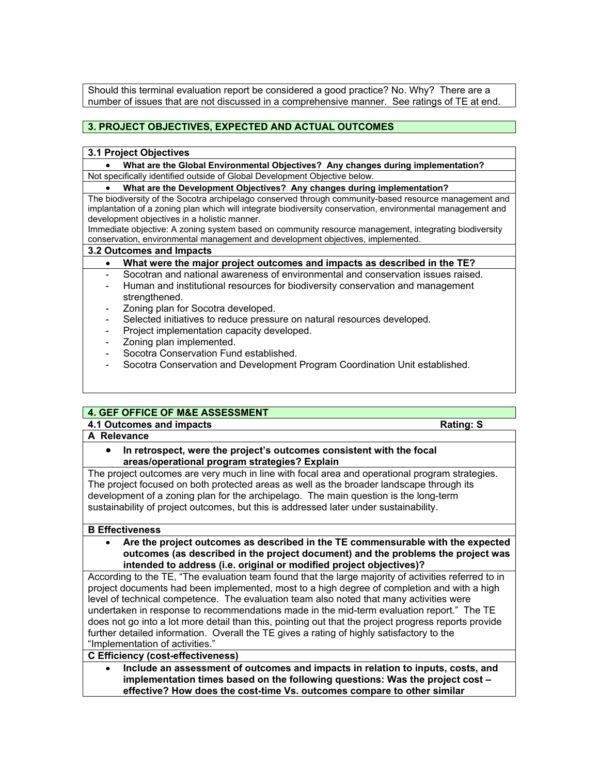Should this terminal evaluation report be considered a good practice? No. Why? There are a number of issues that are not discussed in a comprehensive manner. See ratings of TE at end.

# **3. PROJECT OBJECTIVES, EXPECTED AND ACTUAL OUTCOMES**

#### **3.1 Project Objectives**

• **What are the Global Environmental Objectives? Any changes during implementation?** Not specifically identified outside of Global Development Objective below.

## • **What are the Development Objectives? Any changes during implementation?**

The biodiversity of the Socotra archipelago conserved through community-based resource management and implantation of a zoning plan which will integrate biodiversity conservation, environmental management and development objectives in a holistic manner.

Immediate objective: A zoning system based on community resource management, integrating biodiversity conservation, environmental management and development objectives, implemented.

#### **3.2 Outcomes and Impacts**

### • **What were the major project outcomes and impacts as described in the TE?**

- Socotran and national awareness of environmental and conservation issues raised.
- Human and institutional resources for biodiversity conservation and management strengthened.
- Zoning plan for Socotra developed.
- Selected initiatives to reduce pressure on natural resources developed.
- Project implementation capacity developed.
- Zoning plan implemented.
- Socotra Conservation Fund established.
- Socotra Conservation and Development Program Coordination Unit established.

## **4. GEF OFFICE OF M&E ASSESSMENT**

**4.1 Outcomes and impacts Rating: S** 

#### **A Relevance**

• **In retrospect, were the project's outcomes consistent with the focal areas/operational program strategies? Explain**

The project outcomes are very much in line with focal area and operational program strategies. The project focused on both protected areas as well as the broader landscape through its development of a zoning plan for the archipelago. The main question is the long-term sustainability of project outcomes, but this is addressed later under sustainability.

#### **B Effectiveness**

• **Are the project outcomes as described in the TE commensurable with the expected outcomes (as described in the project document) and the problems the project was intended to address (i.e. original or modified project objectives)?** 

According to the TE, "The evaluation team found that the large majority of activities referred to in project documents had been implemented, most to a high degree of completion and with a high level of technical competence. The evaluation team also noted that many activities were undertaken in response to recommendations made in the mid-term evaluation report." The TE does not go into a lot more detail than this, pointing out that the project progress reports provide further detailed information. Overall the TE gives a rating of highly satisfactory to the "Implementation of activities."

### **C Efficiency (cost-effectiveness)**

• **Include an assessment of outcomes and impacts in relation to inputs, costs, and implementation times based on the following questions: Was the project cost – effective? How does the cost-time Vs. outcomes compare to other similar**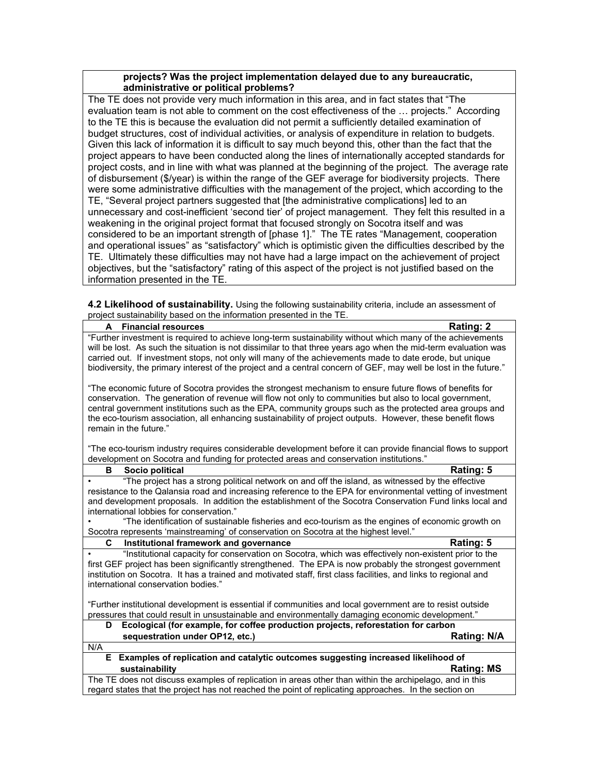### **projects? Was the project implementation delayed due to any bureaucratic, administrative or political problems?**

The TE does not provide very much information in this area, and in fact states that "The evaluation team is not able to comment on the cost effectiveness of the … projects." According to the TE this is because the evaluation did not permit a sufficiently detailed examination of budget structures, cost of individual activities, or analysis of expenditure in relation to budgets. Given this lack of information it is difficult to say much beyond this, other than the fact that the project appears to have been conducted along the lines of internationally accepted standards for project costs, and in line with what was planned at the beginning of the project. The average rate of disbursement (\$/year) is within the range of the GEF average for biodiversity projects. There were some administrative difficulties with the management of the project, which according to the TE, "Several project partners suggested that [the administrative complications] led to an unnecessary and cost-inefficient 'second tier' of project management. They felt this resulted in a weakening in the original project format that focused strongly on Socotra itself and was considered to be an important strength of [phase 1]." The TE rates "Management, cooperation and operational issues" as "satisfactory" which is optimistic given the difficulties described by the TE. Ultimately these difficulties may not have had a large impact on the achievement of project objectives, but the "satisfactory" rating of this aspect of the project is not justified based on the information presented in the TE.

**4.2 Likelihood of sustainability.** Using the following sustainability criteria, include an assessment of project sustainability based on the information presented in the TE.

| A Financial resources                                                                                                                                                                                                                                                                                                                                                                                                                                                 | Rating: 2          |  |
|-----------------------------------------------------------------------------------------------------------------------------------------------------------------------------------------------------------------------------------------------------------------------------------------------------------------------------------------------------------------------------------------------------------------------------------------------------------------------|--------------------|--|
| "Further investment is required to achieve long-term sustainability without which many of the achievements                                                                                                                                                                                                                                                                                                                                                            |                    |  |
| will be lost. As such the situation is not dissimilar to that three years ago when the mid-term evaluation was                                                                                                                                                                                                                                                                                                                                                        |                    |  |
| carried out. If investment stops, not only will many of the achievements made to date erode, but unique                                                                                                                                                                                                                                                                                                                                                               |                    |  |
| biodiversity, the primary interest of the project and a central concern of GEF, may well be lost in the future."                                                                                                                                                                                                                                                                                                                                                      |                    |  |
| "The economic future of Socotra provides the strongest mechanism to ensure future flows of benefits for<br>conservation. The generation of revenue will flow not only to communities but also to local government,<br>central government institutions such as the EPA, community groups such as the protected area groups and<br>the eco-tourism association, all enhancing sustainability of project outputs. However, these benefit flows<br>remain in the future." |                    |  |
| "The eco-tourism industry requires considerable development before it can provide financial flows to support<br>development on Socotra and funding for protected areas and conservation institutions."                                                                                                                                                                                                                                                                |                    |  |
| в<br>Socio political                                                                                                                                                                                                                                                                                                                                                                                                                                                  | Rating: 5          |  |
| "The project has a strong political network on and off the island, as witnessed by the effective                                                                                                                                                                                                                                                                                                                                                                      |                    |  |
| resistance to the Qalansia road and increasing reference to the EPA for environmental vetting of investment                                                                                                                                                                                                                                                                                                                                                           |                    |  |
| and development proposals. In addition the establishment of the Socotra Conservation Fund links local and                                                                                                                                                                                                                                                                                                                                                             |                    |  |
| international lobbies for conservation."                                                                                                                                                                                                                                                                                                                                                                                                                              |                    |  |
| "The identification of sustainable fisheries and eco-tourism as the engines of economic growth on                                                                                                                                                                                                                                                                                                                                                                     |                    |  |
| Socotra represents 'mainstreaming' of conservation on Socotra at the highest level."<br>C.                                                                                                                                                                                                                                                                                                                                                                            |                    |  |
| Institutional framework and governance<br>"Institutional capacity for conservation on Socotra, which was effectively non-existent prior to the                                                                                                                                                                                                                                                                                                                        | Rating: 5          |  |
| first GEF project has been significantly strengthened. The EPA is now probably the strongest government                                                                                                                                                                                                                                                                                                                                                               |                    |  |
| institution on Socotra. It has a trained and motivated staff, first class facilities, and links to regional and                                                                                                                                                                                                                                                                                                                                                       |                    |  |
| international conservation bodies."                                                                                                                                                                                                                                                                                                                                                                                                                                   |                    |  |
|                                                                                                                                                                                                                                                                                                                                                                                                                                                                       |                    |  |
| "Further institutional development is essential if communities and local government are to resist outside                                                                                                                                                                                                                                                                                                                                                             |                    |  |
| pressures that could result in unsustainable and environmentally damaging economic development."                                                                                                                                                                                                                                                                                                                                                                      |                    |  |
| Ecological (for example, for coffee production projects, reforestation for carbon<br>D                                                                                                                                                                                                                                                                                                                                                                                |                    |  |
| sequestration under OP12, etc.)                                                                                                                                                                                                                                                                                                                                                                                                                                       | <b>Rating: N/A</b> |  |
| N/A                                                                                                                                                                                                                                                                                                                                                                                                                                                                   |                    |  |
| Examples of replication and catalytic outcomes suggesting increased likelihood of<br>Е.                                                                                                                                                                                                                                                                                                                                                                               |                    |  |
| sustainability                                                                                                                                                                                                                                                                                                                                                                                                                                                        | <b>Rating: MS</b>  |  |
| The TE does not discuss examples of replication in areas other than within the archipelago, and in this                                                                                                                                                                                                                                                                                                                                                               |                    |  |
| regard states that the project has not reached the point of replicating approaches. In the section on                                                                                                                                                                                                                                                                                                                                                                 |                    |  |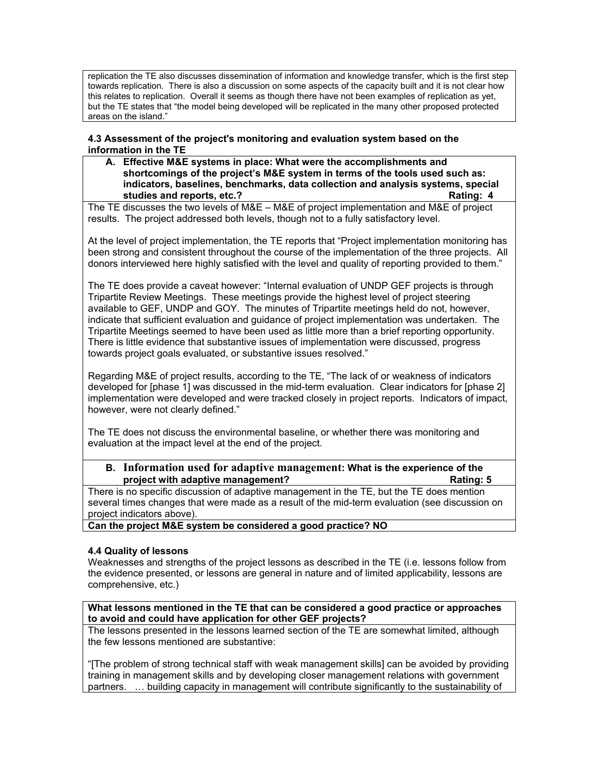replication the TE also discusses dissemination of information and knowledge transfer, which is the first step towards replication. There is also a discussion on some aspects of the capacity built and it is not clear how this relates to replication. Overall it seems as though there have not been examples of replication as yet, but the TE states that "the model being developed will be replicated in the many other proposed protected areas on the island."

### **4.3 Assessment of the project's monitoring and evaluation system based on the information in the TE**

**A. Effective M&E systems in place: What were the accomplishments and shortcomings of the project's M&E system in terms of the tools used such as: indicators, baselines, benchmarks, data collection and analysis systems, special studies and reports, etc.? Rating: 4**

The TE discusses the two levels of M&E – M&E of project implementation and M&E of project results. The project addressed both levels, though not to a fully satisfactory level.

At the level of project implementation, the TE reports that "Project implementation monitoring has been strong and consistent throughout the course of the implementation of the three projects. All donors interviewed here highly satisfied with the level and quality of reporting provided to them."

The TE does provide a caveat however: "Internal evaluation of UNDP GEF projects is through Tripartite Review Meetings. These meetings provide the highest level of project steering available to GEF, UNDP and GOY. The minutes of Tripartite meetings held do not, however, indicate that sufficient evaluation and guidance of project implementation was undertaken. The Tripartite Meetings seemed to have been used as little more than a brief reporting opportunity. There is little evidence that substantive issues of implementation were discussed, progress towards project goals evaluated, or substantive issues resolved."

Regarding M&E of project results, according to the TE, "The lack of or weakness of indicators developed for [phase 1] was discussed in the mid-term evaluation. Clear indicators for [phase 2] implementation were developed and were tracked closely in project reports. Indicators of impact, however, were not clearly defined."

The TE does not discuss the environmental baseline, or whether there was monitoring and evaluation at the impact level at the end of the project.

## **B. Information used for adaptive management: What is the experience of the project with adaptive management? Rating: 5**

There is no specific discussion of adaptive management in the TE, but the TE does mention several times changes that were made as a result of the mid-term evaluation (see discussion on project indicators above).

**Can the project M&E system be considered a good practice? NO**

## **4.4 Quality of lessons**

Weaknesses and strengths of the project lessons as described in the TE (i.e. lessons follow from the evidence presented, or lessons are general in nature and of limited applicability, lessons are comprehensive, etc.)

### **What lessons mentioned in the TE that can be considered a good practice or approaches to avoid and could have application for other GEF projects?**

The lessons presented in the lessons learned section of the TE are somewhat limited, although the few lessons mentioned are substantive:

"[The problem of strong technical staff with weak management skills] can be avoided by providing training in management skills and by developing closer management relations with government partners. … building capacity in management will contribute significantly to the sustainability of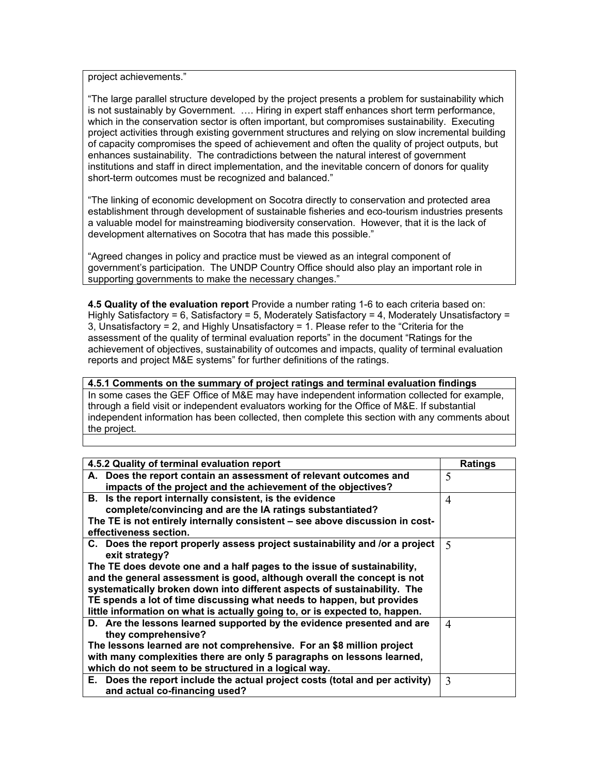project achievements."

"The large parallel structure developed by the project presents a problem for sustainability which is not sustainably by Government. …. Hiring in expert staff enhances short term performance, which in the conservation sector is often important, but compromises sustainability. Executing project activities through existing government structures and relying on slow incremental building of capacity compromises the speed of achievement and often the quality of project outputs, but enhances sustainability. The contradictions between the natural interest of government institutions and staff in direct implementation, and the inevitable concern of donors for quality short-term outcomes must be recognized and balanced."

"The linking of economic development on Socotra directly to conservation and protected area establishment through development of sustainable fisheries and eco-tourism industries presents a valuable model for mainstreaming biodiversity conservation. However, that it is the lack of development alternatives on Socotra that has made this possible."

"Agreed changes in policy and practice must be viewed as an integral component of government's participation. The UNDP Country Office should also play an important role in supporting governments to make the necessary changes."

**4.5 Quality of the evaluation report** Provide a number rating 1-6 to each criteria based on: Highly Satisfactory = 6, Satisfactory = 5, Moderately Satisfactory = 4, Moderately Unsatisfactory = 3, Unsatisfactory = 2, and Highly Unsatisfactory = 1. Please refer to the "Criteria for the assessment of the quality of terminal evaluation reports" in the document "Ratings for the achievement of objectives, sustainability of outcomes and impacts, quality of terminal evaluation reports and project M&E systems" for further definitions of the ratings.

**4.5.1 Comments on the summary of project ratings and terminal evaluation findings**

In some cases the GEF Office of M&E may have independent information collected for example, through a field visit or independent evaluators working for the Office of M&E. If substantial independent information has been collected, then complete this section with any comments about the project.

| 4.5.2 Quality of terminal evaluation report                                                   | <b>Ratings</b>           |
|-----------------------------------------------------------------------------------------------|--------------------------|
| A. Does the report contain an assessment of relevant outcomes and                             | 5                        |
| impacts of the project and the achievement of the objectives?                                 |                          |
| B. Is the report internally consistent, is the evidence                                       | 4                        |
| complete/convincing and are the IA ratings substantiated?                                     |                          |
| The TE is not entirely internally consistent - see above discussion in cost-                  |                          |
| effectiveness section.                                                                        |                          |
| C. Does the report properly assess project sustainability and /or a project<br>exit strategy? | $\overline{\mathcal{L}}$ |
| The TE does devote one and a half pages to the issue of sustainability,                       |                          |
| and the general assessment is good, although overall the concept is not                       |                          |
| systematically broken down into different aspects of sustainability. The                      |                          |
| TE spends a lot of time discussing what needs to happen, but provides                         |                          |
| little information on what is actually going to, or is expected to, happen.                   |                          |
| D. Are the lessons learned supported by the evidence presented and are                        | 4                        |
| they comprehensive?                                                                           |                          |
| The lessons learned are not comprehensive. For an \$8 million project                         |                          |
| with many complexities there are only 5 paragraphs on lessons learned,                        |                          |
| which do not seem to be structured in a logical way.                                          |                          |
| E. Does the report include the actual project costs (total and per activity)                  | 3                        |
| and actual co-financing used?                                                                 |                          |